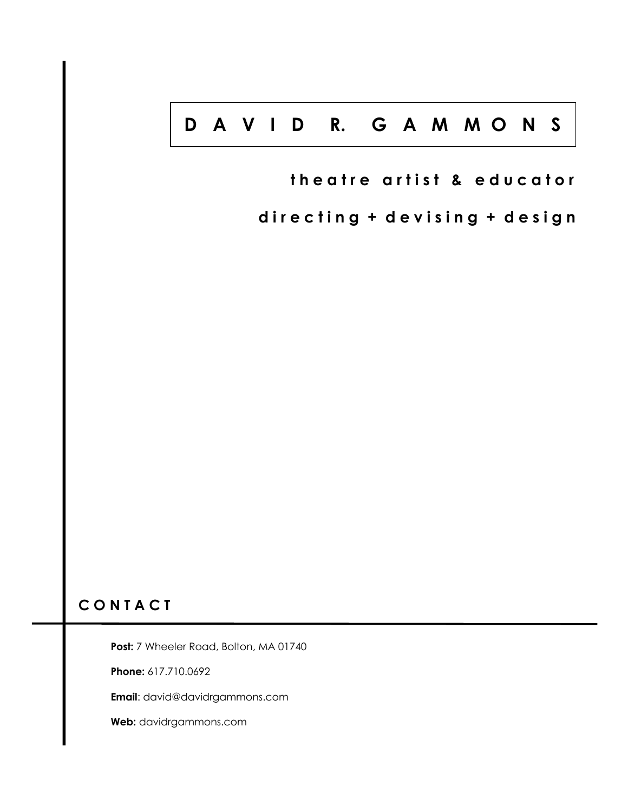# **D A V I D R. G A M M O N S**

**theatre artist & educator** 

directing + devising + design

# **C O N T A C T**

Post: 7 Wheeler Road, Bolton, MA 01740

**Phone:** 617.710.0692

**Email**: david@davidrgammons.com

**Web:** davidrgammons.com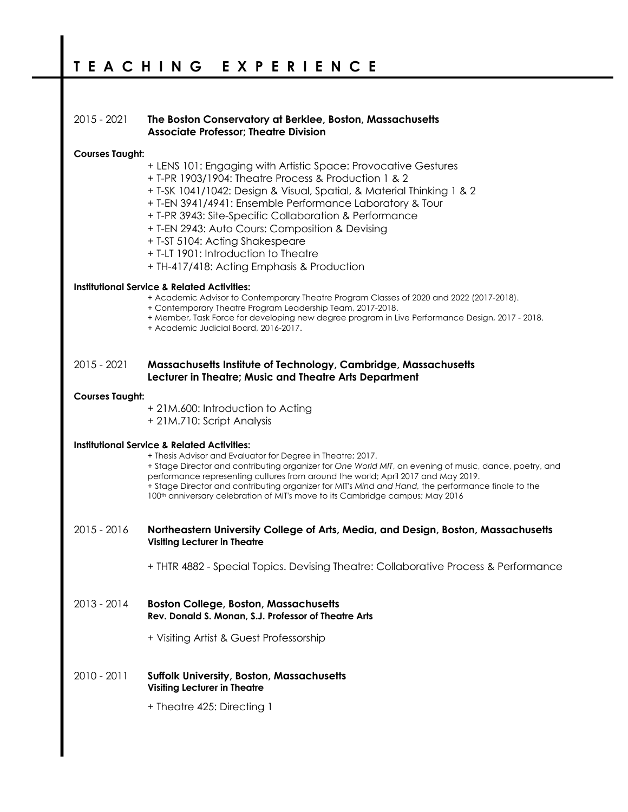## 2015 - 2021 **The Boston Conservatory at Berklee, Boston, Massachusetts Associate Professor; Theatre Division**

## **Courses Taught:**

- + LENS 101: Engaging with Artistic Space: Provocative Gestures
- + T-PR 1903/1904: Theatre Process & Production 1 & 2
- + T-SK 1041/1042: Design & Visual, Spatial, & Material Thinking 1 & 2
- + T-EN 3941/4941: Ensemble Performance Laboratory & Tour
- + T-PR 3943: Site-Specific Collaboration & Performance
- + T-EN 2943: Auto Cours: Composition & Devising
- + T-ST 5104: Acting Shakespeare
- + T-LT 1901: Introduction to Theatre
- + TH-417/418: Acting Emphasis & Production

## **Institutional Service & Related Activities:**

- + Academic Advisor to Contemporary Theatre Program Classes of 2020 and 2022 (2017-2018).
- + Contemporary Theatre Program Leadership Team, 2017-2018.
- + Member, Task Force for developing new degree program in Live Performance Design, 2017 2018.
- + Academic Judicial Board, 2016-2017.

## 2015 - 2021 **Massachusetts Institute of Technology, Cambridge, Massachusetts Lecturer in Theatre; Music and Theatre Arts Department**

## **Courses Taught:**

- + 21M.600: Introduction to Acting
- + 21M.710: Script Analysis

### **Institutional Service & Related Activities:**

+ Thesis Advisor and Evaluator for Degree in Theatre; 2017.

+ Stage Director and contributing organizer for *One World MIT*, an evening of music, dance, poetry, and performance representing cultures from around the world; April 2017 and May 2019. + Stage Director and contributing organizer for MIT's *Mind and Hand,* the performance finale to the 100<sup>th</sup> anniversary celebration of MIT's move to its Cambridge campus; May 2016

- 2015 2016 **Northeastern University College of Arts, Media, and Design, Boston, Massachusetts Visiting Lecturer in Theatre**
	- + THTR 4882 Special Topics. Devising Theatre: Collaborative Process & Performance
- 2013 2014 **Boston College, Boston, Massachusetts Rev. Donald S. Monan, S.J. Professor of Theatre Arts**
	- + Visiting Artist & Guest Professorship
- 2010 2011 **Suffolk University, Boston, Massachusetts Visiting Lecturer in Theatre**
	- + Theatre 425: Directing 1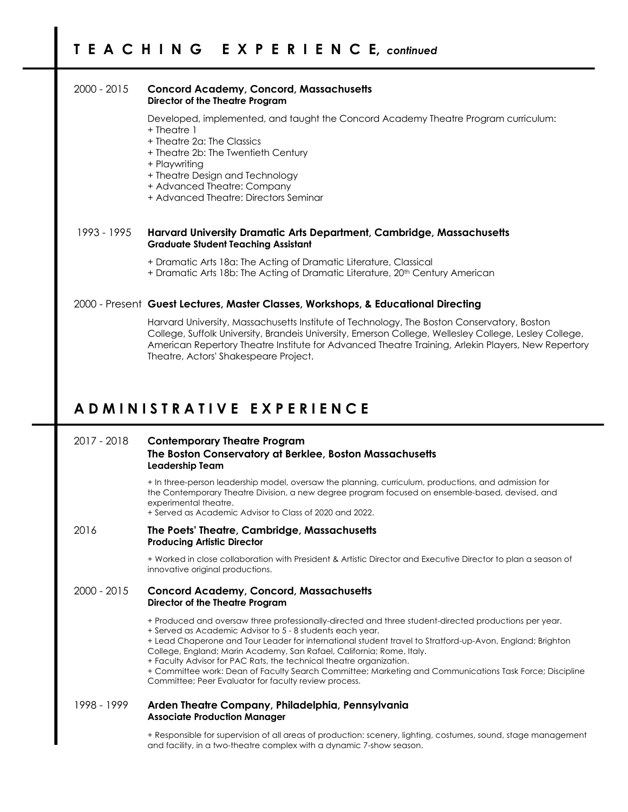## 2000 - 2015 **Concord Academy, Concord, Massachusetts Director of the Theatre Program**

Developed, implemented, and taught the Concord Academy Theatre Program curriculum: + Theatre 1

- + Theatre 2a: The Classics
- + Theatre 2b: The Twentieth Century

+ Playwriting

- + Theatre Design and Technology
- + Advanced Theatre: Company
- + Advanced Theatre: Directors Seminar

## 1993 - 1995 **Harvard University Dramatic Arts Department, Cambridge, Massachusetts Graduate Student Teaching Assistant**

- + Dramatic Arts 18a: The Acting of Dramatic Literature, Classical
- + Dramatic Arts 18b: The Acting of Dramatic Literature, 20th Century American

## 2000 - Present **Guest Lectures, Master Classes, Workshops, & Educational Directing**

Harvard University, Massachusetts Institute of Technology, The Boston Conservatory, Boston College, Suffolk University, Brandeis University, Emerson College, Wellesley College, Lesley College, American Repertory Theatre Institute for Advanced Theatre Training, Arlekin Players, New Repertory Theatre, Actors' Shakespeare Project.

## **A D M I N I S T R A T I V E E X P E R I E N C E**

## 2017 - 2018 **Contemporary Theatre Program The Boston Conservatory at Berklee, Boston Massachusetts Leadership Team**

+ In three-person leadership model, oversaw the planning, curriculum, productions, and admission for the Contemporary Theatre Division, a new degree program focused on ensemble-based, devised, and experimental theatre.

+ Served as Academic Advisor to Class of 2020 and 2022.

2016 **The Poets' Theatre, Cambridge, Massachusetts Producing Artistic Director**

> + Worked in close collaboration with President & Artistic Director and Executive Director to plan a season of innovative original productions.

## 2000 - 2015 **Concord Academy, Concord, Massachusetts Director of the Theatre Program**

- + Produced and oversaw three professionally-directed and three student-directed productions per year.
- + Served as Academic Advisor to 5 8 students each year.

+ Lead Chaperone and Tour Leader for international student travel to Stratford-up-Avon, England; Brighton College, England; Marin Academy, San Rafael, California; Rome, Italy.

+ Faculty Advisor for PAC Rats, the technical theatre organization.

+ Committee work: Dean of Faculty Search Committee; Marketing and Communications Task Force; Discipline Committee; Peer Evaluator for faculty review process.

## 1998 - 1999 **Arden Theatre Company, Philadelphia, Pennsylvania Associate Production Manager**

+ Responsible for supervision of all areas of production: scenery, lighting, costumes, sound, stage management and facility, in a two-theatre complex with a dynamic 7-show season.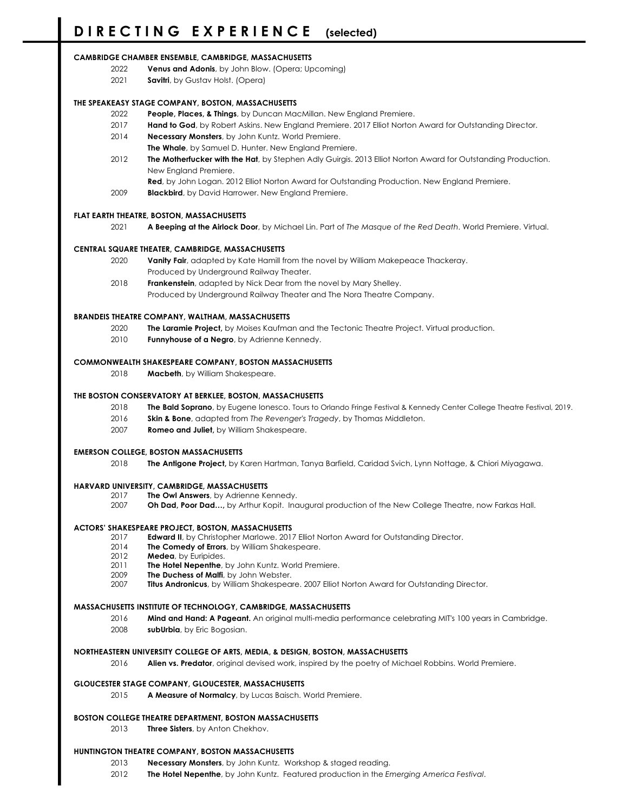#### **CAMBRIDGE CHAMBER ENSEMBLE, CAMBRIDGE, MASSACHUSETTS**

- **Venus and Adonis**, by John Blow. (Opera; Upcoming)
- **Savitri**, by Gustav Holst. (Opera)

### **THE SPEAKEASY STAGE COMPANY, BOSTON, MASSACHUSETTS**

- **People, Places, & Things**, by Duncan MacMillan. New England Premiere.
- **Hand to God**, by Robert Askins. New England Premiere. 2017 Elliot Norton Award for Outstanding Director.
- **Necessary Monsters**, by John Kuntz. World Premiere.
- **The Whale**, by Samuel D. Hunter. New England Premiere.
- **The Motherfucker with the Hat**, by Stephen Adly Guirgis. 2013 Elliot Norton Award for Outstanding Production. New England Premiere.

**Red**, by John Logan. 2012 Elliot Norton Award for Outstanding Production. New England Premiere.

**Blackbird**, by David Harrower. New England Premiere.

### **FLAT EARTH THEATRE, BOSTON, MASSACHUSETTS**

**A Beeping at the Airlock Door**, by Michael Lin. Part of *The Masque of the Red Death*. World Premiere. Virtual.

#### **CENTRAL SQUARE THEATER, CAMBRIDGE, MASSACHUSETTS**

- **Vanity Fair**, adapted by Kate Hamill from the novel by William Makepeace Thackeray. Produced by Underground Railway Theater.
- **Frankenstein**, adapted by Nick Dear from the novel by Mary Shelley. Produced by Underground Railway Theater and The Nora Theatre Company.

#### **BRANDEIS THEATRE COMPANY, WALTHAM, MASSACHUSETTS**

- **The Laramie Project,** by Moises Kaufman and the Tectonic Theatre Project. Virtual production.
- **Funnyhouse of a Negro**, by Adrienne Kennedy.

#### **COMMONWEALTH SHAKESPEARE COMPANY, BOSTON MASSACHUSETTS**

**Macbeth**, by William Shakespeare.

### **THE BOSTON CONSERVATORY AT BERKLEE, BOSTON, MASSACHUSETTS**

- **The Bald Soprano**, by Eugene Ionesco. Tours to Orlando Fringe Festival & Kennedy Center College Theatre Festival, 2019.
- **Skin & Bone**, adapted from *The Revenger's Tragedy*, by Thomas Middleton.
- **Romeo and Juliet,** by William Shakespeare.

#### **EMERSON COLLEGE, BOSTON MASSACHUSETTS**

**The Antigone Project,** by Karen Hartman, Tanya Barfield, Caridad Svich, Lynn Nottage, & Chiori Miyagawa.

#### **HARVARD UNIVERSITY, CAMBRIDGE, MASSACHUSETTS**

- **The Owl Answers**, by Adrienne Kennedy.
- **Oh Dad, Poor Dad…,** by Arthur Kopit. Inaugural production of the New College Theatre, now Farkas Hall.

#### **ACTORS' SHAKESPEARE PROJECT, BOSTON, MASSACHUSETTS**

- **Edward II**, by Christopher Marlowe. 2017 Elliot Norton Award for Outstanding Director.
- **The Comedy of Errors**, by William Shakespeare.
- **Medea**, by Euripides.
- **The Hotel Nepenthe**, by John Kuntz. World Premiere.
- **The Duchess of Malfi**, by John Webster.
- **Titus Andronicus**, by William Shakespeare. 2007 Elliot Norton Award for Outstanding Director.

#### **MASSACHUSETTS INSTITUTE OF TECHNOLOGY, CAMBRIDGE, MASSACHUSETTS**

 **Mind and Hand: A Pageant.** An original multi-media performance celebrating MIT's 100 years in Cambridge. **subUrbia**, by Eric Bogosian.

#### **NORTHEASTERN UNIVERSITY COLLEGE OF ARTS, MEDIA, & DESIGN, BOSTON, MASSACHUSETTS**

**Alien vs. Predator**, original devised work, inspired by the poetry of Michael Robbins. World Premiere.

#### **GLOUCESTER STAGE COMPANY, GLOUCESTER, MASSACHUSETTS**

**A Measure of Normalcy**, by Lucas Baisch. World Premiere.

#### **BOSTON COLLEGE THEATRE DEPARTMENT, BOSTON MASSACHUSETTS**

**Three Sisters**, by Anton Chekhov.

#### **HUNTINGTON THEATRE COMPANY, BOSTON MASSACHUSETTS**

- **Necessary Monsters**, by John Kuntz. Workshop & staged reading.
- **The Hotel Nepenthe**, by John Kuntz. Featured production in the *Emerging America Festival*.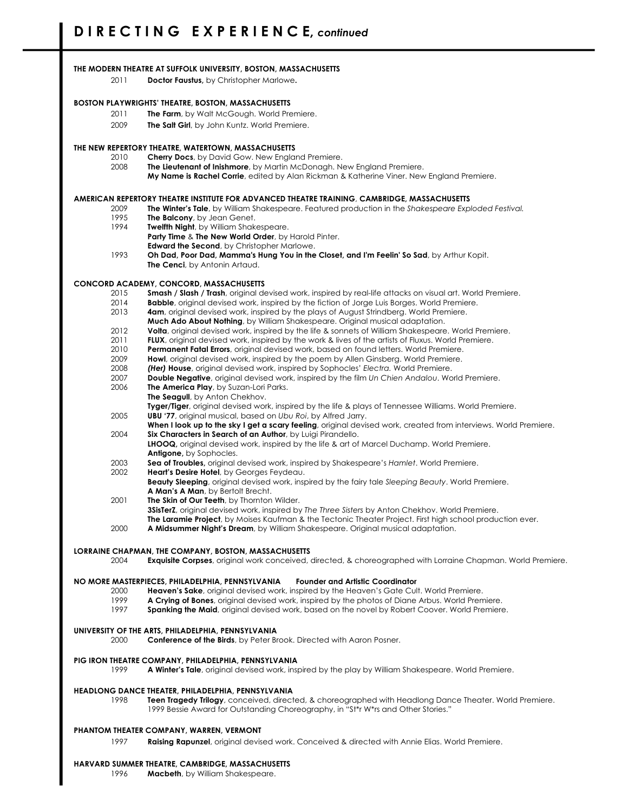#### **THE MODERN THEATRE AT SUFFOLK UNIVERSITY, BOSTON, MASSACHUSETTS**

2011 **Doctor Faustus,** by Christopher Marlowe**.**

#### **BOSTON PLAYWRIGHTS' THEATRE, BOSTON, MASSACHUSETTS**

- 2011 **The Farm**, by Walt McGough. World Premiere.
- 2009 **The Salt Girl**, by John Kuntz. World Premiere.

#### **THE NEW REPERTORY THEATRE, WATERTOWN, MASSACHUSETTS**

- 2010 **Cherry Docs**, by David Gow. New England Premiere.
- 2008 **The Lieutenant of Inishmore**, by Martin McDonagh. New England Premiere.
	- **My Name is Rachel Corrie**, edited by Alan Rickman & Katherine Viner. New England Premiere.

#### **AMERICAN REPERTORY THEATRE INSTITUTE FOR ADVANCED THEATRE TRAINING**, **CAMBRIDGE, MASSACHUSETTS**

- 2009 **The Winter's Tale**, by William Shakespeare. Featured production in the *Shakespeare Exploded Festival.*
- 1995 **The Balcony**, by Jean Genet.
- 1994 **Twelfth Night**, by William Shakespeare.
- **Party Time** & **The New World Order**, by Harold Pinter.
- **Edward the Second**, by Christopher Marlowe.
- 1993 **Oh Dad, Poor Dad, Mamma's Hung You in the Closet, and I'm Feelin' So Sad**, by Arthur Kopit. **The Cenci**, by Antonin Artaud.

#### **CONCORD ACADEMY, CONCORD, MASSACHUSETTS**

- 2015 **Smash / Slash / Trash**, original devised work, inspired by real-life attacks on visual art. World Premiere.
- 2014 **Babble**, original devised work, inspired by the fiction of Jorge Luis Borges. World Premiere.
- 2013 **4am**, original devised work, inspired by the plays of August Strindberg. World Premiere.
- **Much Ado About Nothing**, by William Shakespeare. Original musical adaptation.
- 2012 **Volta**, original devised work, inspired by the life & sonnets of William Shakespeare. World Premiere.
- 2011 **FLUX**, original devised work, inspired by the work & lives of the artists of Fluxus. World Premiere. 2010 **Permanent Fatal Errors**, original devised work, based on found letters. World Premiere.
- 
- 2009 **Howl**, original devised work, inspired by the poem by Allen Ginsberg. World Premiere. 2008 *(Her)* **House**, original devised work, inspired by Sophocles' *Electra.* World Premiere.
- 2007 **Double Negative**, original devised work, inspired by the film *Un Chien Andalou*. World Premiere.
- 2006 **The America Play**, by Suzan-Lori Parks.
- **The Seagull**, by Anton Chekhov.
- **Tyger/Tiger**, original devised work, inspired by the life & plays of Tennessee Williams. World Premiere. 2005 **UBU '77**, original musical, based on *Ubu Roi*, by Alfred Jarry.
- **When I look up to the sky I get a scary feeling**, original devised work, created from interviews. World Premiere. 2004 **Six Characters in Search of an Author**, by Luigi Pirandello.
- **LHOOQ,** original devised work, inspired by the life & art of Marcel Duchamp. World Premiere. **Antigone,** by Sophocles.
- 2003 **Sea of Troubles,** original devised work, inspired by Shakespeare's *Hamlet*. World Premiere.
- 2002 **Heart's Desire Hotel**, by Georges Feydeau. **Beauty Sleeping**, original devised work, inspired by the fairy tale *Sleeping Beauty*. World Premiere. **A Man's A Man**, by Bertolt Brecht.
- 2001 **The Skin of Our Teeth**, by Thornton Wilder.
- **3SisTerZ**, original devised work, inspired by *The Three Sisters* by Anton Chekhov. World Premiere. **The Laramie Project**, by Moises Kaufman & the Tectonic Theater Project. First high school production ever.
- 2000 **A Midsummer Night's Dream**, by William Shakespeare. Original musical adaptation.

#### **LORRAINE CHAPMAN, THE COMPANY, BOSTON, MASSACHUSETTS**

2004 **Exquisite Corpses**, original work conceived, directed, & choreographed with Lorraine Chapman. World Premiere.

#### **NO MORE MASTERPIECES, PHILADELPHIA, PENNSYLVANIA Founder and Artistic Coordinator**

- 2000 **Heaven's Sake**, original devised work, inspired by the Heaven's Gate Cult. World Premiere.
- 1999 **A Crying of Bones**, original devised work, inspired by the photos of Diane Arbus. World Premiere.
- **Spanking the Maid**, original devised work, based on the novel by Robert Coover. World Premiere.

#### **UNIVERSITY OF THE ARTS, PHILADELPHIA, PENNSYLVANIA**

2000 **Conference of the Birds**, by Peter Brook. Directed with Aaron Posner.

#### **PIG IRON THEATRE COMPANY, PHILADELPHIA, PENNSYLVANIA**

1999 **A Winter's Tale**, original devised work, inspired by the play by William Shakespeare. World Premiere.

#### **HEADLONG DANCE THEATER, PHILADELPHIA, PENNSYLVANIA**

1998 **Teen Tragedy Trilogy**, conceived, directed, & choreographed with Headlong Dance Theater. World Premiere. 1999 Bessie Award for Outstanding Choreography, in "St\*r W\*rs and Other Stories."

#### **PHANTOM THEATER COMPANY, WARREN, VERMONT**

1997 **Raising Rapunzel**, original devised work. Conceived & directed with Annie Elias. World Premiere.

#### **HARVARD SUMMER THEATRE, CAMBRIDGE, MASSACHUSETTS**

1996 **Macbeth**, by William Shakespeare.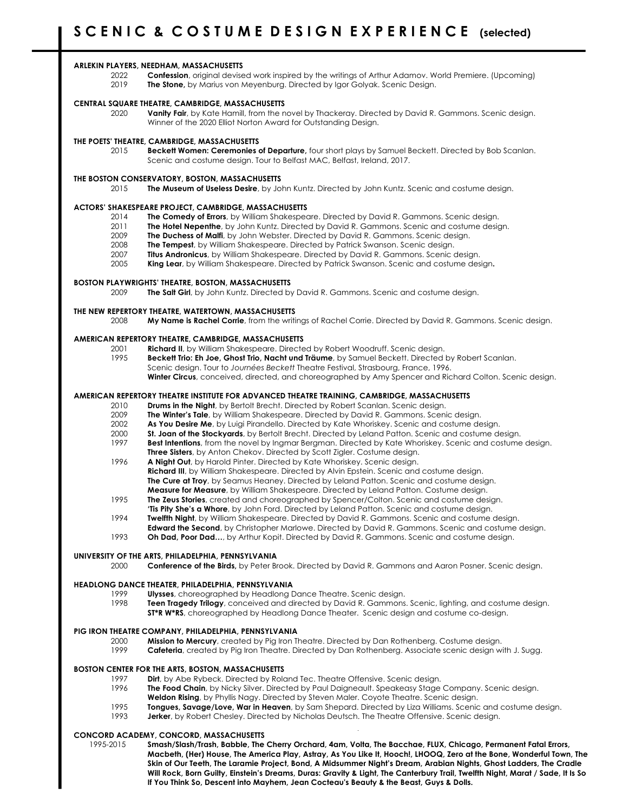#### **ARLEKIN PLAYERS, NEEDHAM, MASSACHUSETTS**

2022 **Confession**, original devised work inspired by the writings of Arthur Adamov. World Premiere. (Upcoming) 2019 **The Stone,** by Marius von Meyenburg. Directed by Igor Golyak. Scenic Design.

#### **CENTRAL SQUARE THEATRE, CAMBRIDGE, MASSACHUSETTS**

2020 **Vanity Fair**, by Kate Hamill, from the novel by Thackeray. Directed by David R. Gammons. Scenic design. Winner of the 2020 Elliot Norton Award for Outstanding Design.

#### **THE POETS' THEATRE, CAMBRIDGE, MASSACHUSETTS**

2015 **Beckett Women: Ceremonies of Departure,** four short plays by Samuel Beckett. Directed by Bob Scanlan. Scenic and costume design. Tour to Belfast MAC, Belfast, Ireland, 2017.

#### **THE BOSTON CONSERVATORY, BOSTON, MASSACHUSETTS**

2015 **The Museum of Useless Desire**, by John Kuntz. Directed by John Kuntz. Scenic and costume design.

#### **ACTORS' SHAKESPEARE PROJECT, CAMBRIDGE, MASSACHUSETTS**

- 2014 **The Comedy of Errors**, by William Shakespeare. Directed by David R. Gammons. Scenic design.
- 2011 **The Hotel Nepenthe**, by John Kuntz. Directed by David R. Gammons. Scenic and costume design.
- 2009 **The Duchess of Malfi**, by John Webster. Directed by David R. Gammons. Scenic design.
- 2008 **The Tempest**, by William Shakespeare. Directed by Patrick Swanson. Scenic design.
- 2007 **Titus Andronicus**, by William Shakespeare. Directed by David R. Gammons. Scenic design.
- 2005 **King Lear**, by William Shakespeare. Directed by Patrick Swanson. Scenic and costume design**.**

#### **BOSTON PLAYWRIGHTS' THEATRE, BOSTON, MASSACHUSETTS**

2009 **The Salt Girl**, by John Kuntz. Directed by David R. Gammons. Scenic and costume design.

## **THE NEW REPERTORY THEATRE, WATERTOWN, MASSACHUSETTS**<br>2008 My Name is Rachel Corrie, from the writi

2008 **My Name is Rachel Corrie**, from the writings of Rachel Corrie. Directed by David R. Gammons. Scenic design.

#### **AMERICAN REPERTORY THEATRE, CAMBRIDGE, MASSACHUSETTS**

- 2001 **Richard II**, by William Shakespeare. Directed by Robert Woodruff. Scenic design. Beckett Trio: Eh Joe, Ghost Trio, Nacht und Träume, by Samuel Beckett. Directed by Robert Scanlan.
	- Scenic design. Tour to *Journées Beckett* Theatre Festival, Strasbourg, France, 1996. **Winter Circus**, conceived, directed, and choreographed by Amy Spencer and Richard Colton. Scenic design.

#### **AMERICAN REPERTORY THEATRE INSTITUTE FOR ADVANCED THEATRE TRAINING, CAMBRIDGE, MASSACHUSETTS**

- 2010 **Drums in the Night**, by Bertolt Brecht. Directed by Robert Scanlan. Scenic design.
- 2009 **The Winter's Tale**, by William Shakespeare. Directed by David R. Gammons. Scenic design.
- 2002 **As You Desire Me**, by Luigi Pirandello. Directed by Kate Whoriskey. Scenic and costume design.
- 2000 **St. Joan of the Stockyards**, by Bertolt Brecht. Directed by Leland Patton. Scenic and costume design.
- 1997 **Best Intentions**, from the novel by Ingmar Bergman. Directed by Kate Whoriskey. Scenic and costume design. **Three Sisters**, by Anton Chekov. Directed by Scott Zigler. Costume design.
- 1996 **A Night Out**, by Harold Pinter. Directed by Kate Whoriskey. Scenic design. **Richard III**, by William Shakespeare. Directed by Alvin Epstein. Scenic and costume design. **The Cure at Troy**, by Seamus Heaney. Directed by Leland Patton. Scenic and costume design. **Measure for Measure**, by William Shakespeare. Directed by Leland Patton. Costume design.
- 1995 **The Zeus Stories**, created and choreographed by Spencer/Colton. Scenic and costume design.
- **'Tis Pity She's a Whore**, by John Ford. Directed by Leland Patton. Scenic and costume design.
- 1994 **Twelfth Night**, by William Shakespeare. Directed by David R. Gammons. Scenic and costume design.
- **Edward the Second**, by Christopher Marlowe. Directed by David R. Gammons. Scenic and costume design.
- 1993 **Oh Dad, Poor Dad…**, by Arthur Kopit. Directed by David R. Gammons. Scenic and costume design.

#### **UNIVERSITY OF THE ARTS, PHILADELPHIA, PENNSYLVANIA**

2000 **Conference of the Birds,** by Peter Brook. Directed by David R. Gammons and Aaron Posner. Scenic design.

#### **HEADLONG DANCE THEATER, PHILADELPHIA, PENNSYLVANIA**

- 1999 **Ulysses**, choreographed by Headlong Dance Theatre. Scenic design.
- 1998 **Teen Tragedy Trilogy**, conceived and directed by David R. Gammons. Scenic, lighting, and costume design.
	- **ST\*R W\*RS**, choreographed by Headlong Dance Theater. Scenic design and costume co-design.

#### **PIG IRON THEATRE COMPANY, PHILADELPHIA, PENNSYLVANIA**

- 2000 **Mission to Mercury**, created by Pig Iron Theatre. Directed by Dan Rothenberg. Costume design.
- **Cafeteria**, created by Pig Iron Theatre. Directed by Dan Rothenberg. Associate scenic design with J. Sugg.

#### **BOSTON CENTER FOR THE ARTS, BOSTON, MASSACHUSETTS**

- 1997 **Dirt**, by Abe Rybeck. Directed by Roland Tec. Theatre Offensive. Scenic design.
- 1996 **The Food Chain**, by Nicky Silver. Directed by Paul Daigneault. Speakeasy Stage Company. Scenic design.
- **Weldon Rising**, by Phyllis Nagy. Directed by Steven Maler. Coyote Theatre. Scenic design.
- 1995 **Tongues, Savage/Love, War in Heaven**, by Sam Shepard. Directed by Liza Williams. Scenic and costume design.
- 1993 **Jerker**, by Robert Chesley. Directed by Nicholas Deutsch. The Theatre Offensive. Scenic design.

#### **CONCORD ACADEMY, CONCORD, MASSACHUSETTS**

1995-2015 **Smash/Slash/Trash, Babble, The Cherry Orchard, 4am, Volta, The Bacchae, FLUX, Chicago, Permanent Fatal Errors, Macbeth, (Her) House, The America Play, Astray, As You Like It, Hooch!, LHOOQ, Zero at the Bone, Wonderful Town, The Skin of Our Teeth, The Laramie Project, Bond, A Midsummer Night's Dream, Arabian Nights, Ghost Ladders, The Cradle Will Rock, Born Guilty, Einstein's Dreams, Duras: Gravity & Light, The Canterbury Trail, Twelfth Night, Marat / Sade, It Is So If You Think So, Descent into Mayhem, Jean Cocteau's Beauty & the Beast, Guys & Dolls.**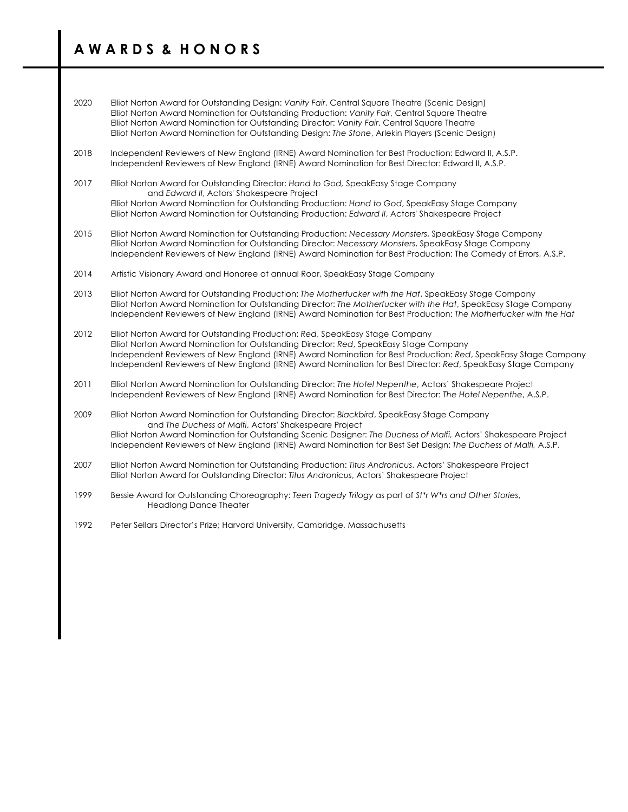## **A W A R D S & H O N O R S**

- 2020 Elliot Norton Award for Outstanding Design: *Vanity Fair*, Central Square Theatre (Scenic Design) Elliot Norton Award Nomination for Outstanding Production: *Vanity Fair*, Central Square Theatre Elliot Norton Award Nomination for Outstanding Director: *Vanity Fair*, Central Square Theatre Elliot Norton Award Nomination for Outstanding Design: *The Stone*, Arlekin Players (Scenic Design)
- 2018 Independent Reviewers of New England (IRNE) Award Nomination for Best Production: Edward II, A.S.P. Independent Reviewers of New England (IRNE) Award Nomination for Best Director: Edward II, A.S.P.
- 2017 Elliot Norton Award for Outstanding Director: *Hand to God,* SpeakEasy Stage Company and *Edward II*, Actors' Shakespeare Project Elliot Norton Award Nomination for Outstanding Production: *Hand to God*, SpeakEasy Stage Company Elliot Norton Award Nomination for Outstanding Production: *Edward II*, Actors' Shakespeare Project
- 2015 Elliot Norton Award Nomination for Outstanding Production: *Necessary Monsters*, SpeakEasy Stage Company Elliot Norton Award Nomination for Outstanding Director: *Necessary Monsters*, SpeakEasy Stage Company Independent Reviewers of New England (IRNE) Award Nomination for Best Production: The Comedy of Errors, A.S.P.
- 2014 Artistic Visionary Award and Honoree at annual Roar, SpeakEasy Stage Company
- 2013 Elliot Norton Award for Outstanding Production: *The Motherfucker with the Hat*, SpeakEasy Stage Company Elliot Norton Award Nomination for Outstanding Director: *The Motherfucker with the Hat*, SpeakEasy Stage Company Independent Reviewers of New England (IRNE) Award Nomination for Best Production: *The Motherfucker with the Hat*
- 2012 Elliot Norton Award for Outstanding Production: *Red*, SpeakEasy Stage Company Elliot Norton Award Nomination for Outstanding Director: *Red*, SpeakEasy Stage Company Independent Reviewers of New England (IRNE) Award Nomination for Best Production: *Red*, SpeakEasy Stage Company Independent Reviewers of New England (IRNE) Award Nomination for Best Director: *Red*, SpeakEasy Stage Company
- 2011 Elliot Norton Award Nomination for Outstanding Director: *The Hotel Nepenthe*, Actors' Shakespeare Project Independent Reviewers of New England (IRNE) Award Nomination for Best Director: *The Hotel Nepenthe*, A.S.P.
- 2009 Elliot Norton Award Nomination for Outstanding Director: *Blackbird*, SpeakEasy Stage Company and *The Duchess of Malfi*, Actors' Shakespeare Project Elliot Norton Award Nomination for Outstanding Scenic Designer: *The Duchess of Malfi,* Actors' Shakespeare Project Independent Reviewers of New England (IRNE) Award Nomination for Best Set Design: *The Duchess of Malfi,* A.S.P.
- 2007 Elliot Norton Award Nomination for Outstanding Production: *Titus Andronicus*, Actors' Shakespeare Project Elliot Norton Award for Outstanding Director: *Titus Andronicus*, Actors' Shakespeare Project
- 1999 Bessie Award for Outstanding Choreography: *Teen Tragedy Trilogy* as part of *St\*r W\*rs and Other Stories*, Headlong Dance Theater
- 1992 Peter Sellars Director's Prize; Harvard University, Cambridge, Massachusetts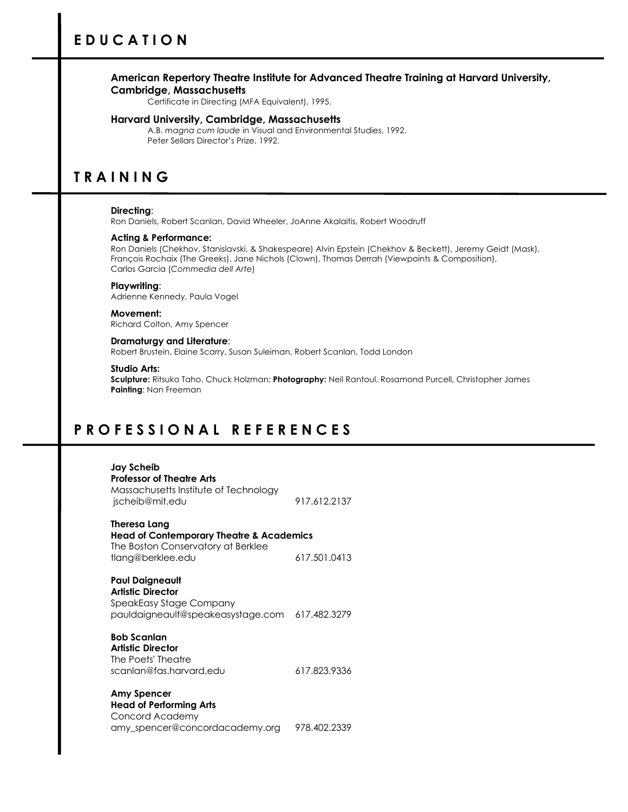## **American Repertory Theatre Institute for Advanced Theatre Training at Harvard University, Cambridge, Massachusetts**

Certificate in Directing (MFA Equivalent), 1995.

## **Harvard University, Cambridge, Massachusetts**

A.B. *magna cum laude* in Visual and Environmental Studies, 1992. Peter Sellars Director's Prize, 1992.

## **T R A I N I N G**

### **Directing**:

Ron Daniels, Robert Scanlan, David Wheeler, JoAnne Akalaitis, Robert Woodruff

### **Acting & Performance:**

Ron Daniels (Chekhov, Stanislavski, & Shakespeare) Alvin Epstein (Chekhov & Beckett), Jeremy Geidt (Mask), François Rochaix (The Greeks), Jane Nichols (Clown), Thomas Derrah (Viewpoints & Composition), Carlos Garcia (*Commedia dell Arte*)

### **Playwriting**:

Adrienne Kennedy, Paula Vogel

## **Movement:**

Richard Colton, Amy Spencer

#### **Dramaturgy and Literature**: Robert Brustein, Elaine Scarry, Susan Suleiman, Robert Scanlan, Todd London

## **Studio Arts:**

**Sculpture:** Ritsuko Taho, Chuck Holzman; **Photography:** Neil Rantoul, Rosamond Purcell, Christopher James **Painting**: Nan Freeman

## **P R O F E S S I O N A L R E F E R E N C E S**

## **Jay Scheib Professor of Theatre Arts** Massachusetts Institute of Technology jscheib@mit.edu 917.612.2137

**Theresa Lang Head of Contemporary Theatre & Academics** The Boston Conservatory at Berklee tlang@berklee.edu 617.501.0413

**Paul Daigneault Artistic Director** SpeakEasy Stage Company pauldaigneault@speakeasystage.com 617.482.3279

## **Bob Scanlan Artistic Director** The Poets' Theatre scanlan@fas.harvard.edu 617.823.9336

**Amy Spencer Head of Performing Arts** Concord Academy amy\_spencer@concordacademy.org 978.402.2339